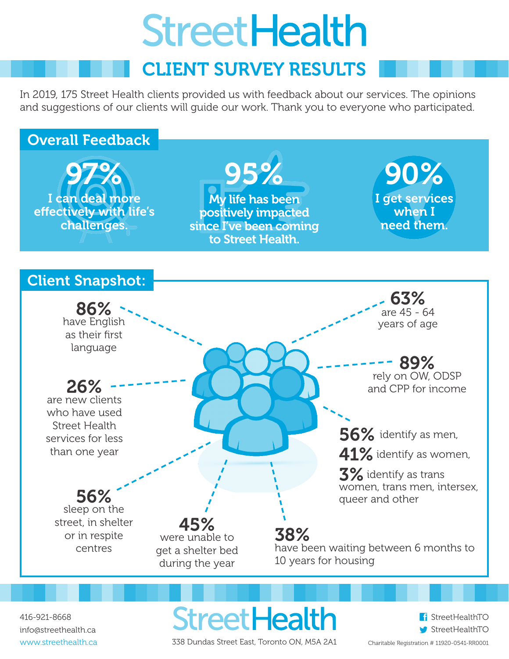# **StreetHealth**

# CLIENT SURVEY RESULTS

In 2019, 175 Street Health clients provided us with feedback about our services. The opinions and suggestions of our clients will guide our work. Thank you to everyone who participated.



416-921-8668 info@streethealth.ca www.streethealth.ca

**StreetHealth** 338 Dundas Street East, Toronto ON, M5A 2A1

f StreetHealthTO StreetHealthTO

Charitable Registration # 11920-0541-RR0001